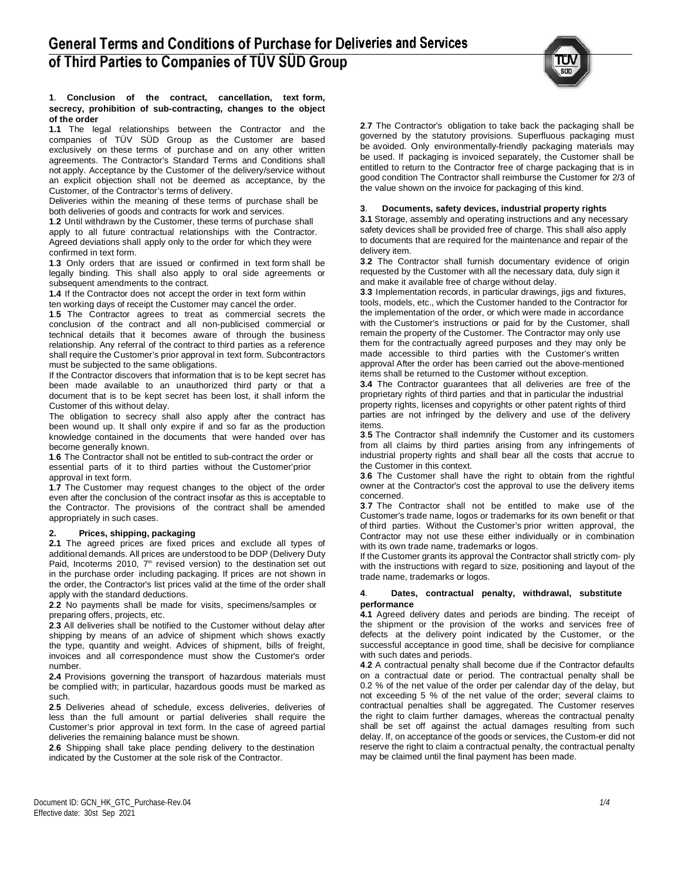

### **1**. **Conclusion of the contract, cancellation, text form, secrecy, prohibition of sub-contracting, changes to the object of the order**

**1.1** The legal relationships between the Contractor and the companies of TÜV SÜD Group as the Customer are based exclusively on these terms of purchase and on any other written agreements. The Contractor's Standard Terms and Conditions shall not apply. Acceptance by the Customer of the delivery/service without an explicit objection shall not be deemed as acceptance, by the Customer, of the Contractor's terms of delivery.

Deliveries within the meaning of these terms of purchase shall be both deliveries of goods and contracts for work and services.

**1**.**2** Until withdrawn by the Customer, these terms of purchase shall apply to all future contractual relationships with the Contractor. Agreed deviations shall apply only to the order for which they were confirmed in text form.

**1**.**3** Only orders that are issued or confirmed in text form shall be legally binding. This shall also apply to oral side agreements or subsequent amendments to the contract.

**1.4** If the Contractor does not accept the order in text form within ten working days of receipt the Customer may cancel the order.

**1**.**5** The Contractor agrees to treat as commercial secrets the conclusion of the contract and all non-publicised commercial or technical details that it becomes aware of through the business relationship. Any referral of the contract to third parties as a reference shall require the Customer's prior approval in text form. Subcontractors must be subjected to the same obligations.

If the Contractor discovers that information that is to be kept secret has been made available to an unauthorized third party or that a document that is to be kept secret has been lost, it shall inform the Customer of this without delay.

The obligation to secrecy shall also apply after the contract has been wound up. It shall only expire if and so far as the production knowledge contained in the documents that were handed over has become generally known.

**1**.**6** The Contractor shall not be entitled to sub-contract the order or essential parts of it to third parties without the Customer'prior approval in text form.

**1**.**7** The Customer may request changes to the object of the order even after the conclusion of the contract insofar as this is acceptable to the Contractor. The provisions of the contract shall be amended appropriately in such cases.

# **2. Prices, shipping, packaging**

**2.1** The agreed prices are fixed prices and exclude all types of additional demands. All prices are understood to be DDP (Delivery Duty Paid, Incoterms 2010, 7<sup>th</sup> revised version) to the destination set out in the purchase order including packaging. If prices are not shown in the order, the Contractor's list prices valid at the time of the order shall apply with the standard deductions.

**2**.**2** No payments shall be made for visits, specimens/samples or preparing offers, projects, etc.

**2**.**3** All deliveries shall be notified to the Customer without delay after shipping by means of an advice of shipment which shows exactly the type, quantity and weight. Advices of shipment, bills of freight, invoices and all correspondence must show the Customer's order number.

**2.4** Provisions governing the transport of hazardous materials must be complied with; in particular, hazardous goods must be marked as such.

**2**.**5** Deliveries ahead of schedule, excess deliveries, deliveries of less than the full amount or partial deliveries shall require the Customer's prior approval in text form. In the case of agreed partial deliveries the remaining balance must be shown.

**2**.**6** Shipping shall take place pending delivery to the destination indicated by the Customer at the sole risk of the Contractor.

**2**.**7** The Contractor's obligation to take back the packaging shall be governed by the statutory provisions. Superfluous packaging must be avoided. Only environmentally-friendly packaging materials may be used. If packaging is invoiced separately, the Customer shall be entitled to return to the Contractor free of charge packaging that is in good condition The Contractor shall reimburse the Customer for 2/3 of the value shown on the invoice for packaging of this kind.

# **3**. **Documents, safety devices, industrial property rights**

**3.1** Storage, assembly and operating instructions and any necessary safety devices shall be provided free of charge. This shall also apply to documents that are required for the maintenance and repair of the delivery item.

**3**.**2** The Contractor shall furnish documentary evidence of origin requested by the Customer with all the necessary data, duly sign it and make it available free of charge without delay.

**3**.**3** Implementation records, in particular drawings, jigs and fixtures, tools, models, etc., which the Customer handed to the Contractor for the implementation of the order, or which were made in accordance with the Customer's instructions or paid for by the Customer, shall remain the property of the Customer. The Contractor may only use them for the contractually agreed purposes and they may only be made accessible to third parties with the Customer's written approval After the order has been carried out the above-mentioned items shall be returned to the Customer without exception.

**3.4** The Contractor guarantees that all deliveries are free of the proprietary rights of third parties and that in particular the industrial property rights, licenses and copyrights or other patent rights of third parties are not infringed by the delivery and use of the delivery items.

**3**.**5** The Contractor shall indemnify the Customer and its customers from all claims by third parties arising from any infringements of industrial property rights and shall bear all the costs that accrue to the Customer in this context.

**3**.**6** The Customer shall have the right to obtain from the rightful owner at the Contractor's cost the approval to use the delivery items concerned.

**3**.**7** The Contractor shall not be entitled to make use of the Customer's trade name, logos or trademarks for its own benefit or that of third parties. Without the Customer's prior written approval, the Contractor may not use these either individually or in combination with its own trade name, trademarks or logos.

If the Customer grants its approval the Contractor shall strictly com- ply with the instructions with regard to size, positioning and layout of the trade name, trademarks or logos.

#### **4**. **Dates, contractual penalty, withdrawal, substitute performance**

**4.1** Agreed delivery dates and periods are binding. The receipt of the shipment or the provision of the works and services free of defects at the delivery point indicated by the Customer, or the successful acceptance in good time, shall be decisive for compliance with such dates and periods.

**4**.**2** A contractual penalty shall become due if the Contractor defaults on a contractual date or period. The contractual penalty shall be 0.2 % of the net value of the order per calendar day of the delay, but not exceeding 5 % of the net value of the order; several claims to contractual penalties shall be aggregated. The Customer reserves the right to claim further damages, whereas the contractual penalty shall be set off against the actual damages resulting from such delay. If, on acceptance of the goods or services, the Custom-er did not reserve the right to claim a contractual penalty, the contractual penalty may be claimed until the final payment has been made.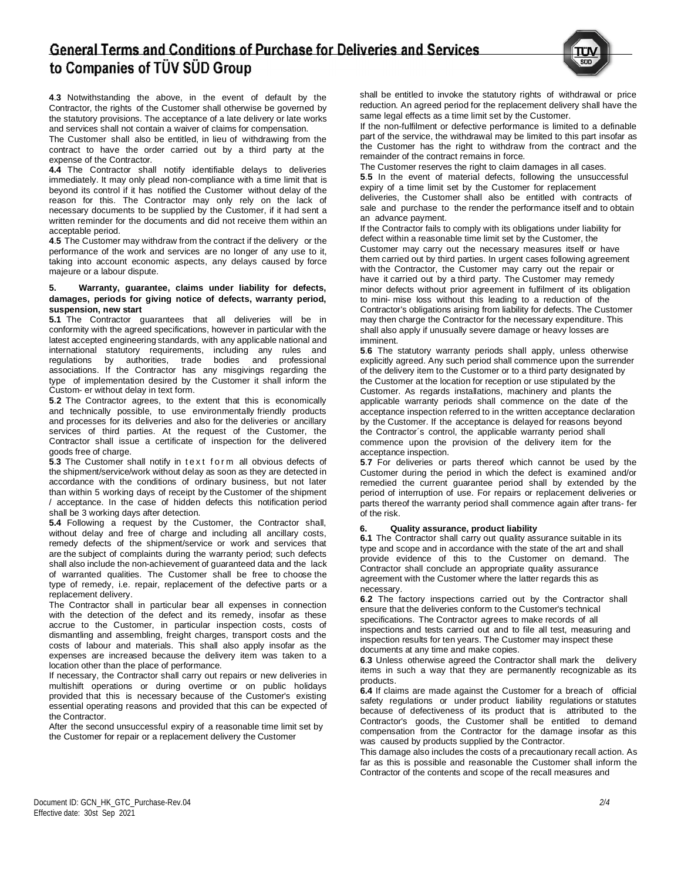# **General Terms and Conditions of Purchase for Deliveries and Services** to Companies of TÜV SÜD Group



**4**.**3** Notwithstanding the above, in the event of default by the Contractor, the rights of the Customer shall otherwise be governed by the statutory provisions. The acceptance of a late delivery or late works and services shall not contain a waiver of claims for compensation.

The Customer shall also be entitled, in lieu of withdrawing from the contract to have the order carried out by a third party at the expense of the Contractor.

**4.4** The Contractor shall notify identifiable delays to deliveries immediately. It may only plead non-compliance with a time limit that is beyond its control if it has notified the Customer without delay of the reason for this. The Contractor may only rely on the lack of necessary documents to be supplied by the Customer, if it had sent a written reminder for the documents and did not receive them within an acceptable period.

**4**.**5** The Customer may withdraw from the contract if the delivery or the performance of the work and services are no longer of any use to it, taking into account economic aspects, any delays caused by force majeure or a labour dispute.

### **5. Warranty, guarantee, claims under liability for defects, damages, periods for giving notice of defects, warranty period, suspension, new start**

**5.1** The Contractor guarantees that all deliveries will be in conformity with the agreed specifications, however in particular with the latest accepted engineering standards, with any applicable national and international statutory requirements, including any rules and regulations by authorities, trade bodies and professional associations. If the Contractor has any misgivings regarding the type of implementation desired by the Customer it shall inform the Custom- er without delay in text form.

**5**.**2** The Contractor agrees, to the extent that this is economically and technically possible, to use environmentally friendly products and processes for its deliveries and also for the deliveries or ancillary services of third parties. At the request of the Customer, the Contractor shall issue a certificate of inspection for the delivered goods free of charge.

**5.3** The Customer shall notify in text form all obvious defects of the shipment/service/work without delay as soon as they are detected in accordance with the conditions of ordinary business, but not later than within 5 working days of receipt by the Customer of the shipment / acceptance. In the case of hidden defects this notification period shall be 3 working days after detection.

**5.4** Following a request by the Customer, the Contractor shall, without delay and free of charge and including all ancillary costs, remedy defects of the shipment/service or work and services that are the subject of complaints during the warranty period; such defects shall also include the non-achievement of guaranteed data and the lack of warranted qualities. The Customer shall be free to choose the type of remedy, i.e. repair, replacement of the defective parts or a replacement delivery.

The Contractor shall in particular bear all expenses in connection with the detection of the defect and its remedy, insofar as these accrue to the Customer, in particular inspection costs, costs of dismantling and assembling, freight charges, transport costs and the costs of labour and materials. This shall also apply insofar as the expenses are increased because the delivery item was taken to a location other than the place of performance.

If necessary, the Contractor shall carry out repairs or new deliveries in multishift operations or during overtime or on public holidays provided that this is necessary because of the Customer's existing essential operating reasons and provided that this can be expected of the Contractor.

After the second unsuccessful expiry of a reasonable time limit set by the Customer for repair or a replacement delivery the Customer

shall be entitled to invoke the statutory rights of withdrawal or price reduction. An agreed period for the replacement delivery shall have the same legal effects as a time limit set by the Customer.

If the non-fulfilment or defective performance is limited to a definable part of the service, the withdrawal may be limited to this part insofar as the Customer has the right to withdraw from the contract and the remainder of the contract remains in force.

The Customer reserves the right to claim damages in all cases. **5**.**5** In the event of material defects, following the unsuccessful expiry of a time limit set by the Customer for replacement deliveries, the Customer shall also be entitled with contracts of sale and purchase to the render the performance itself and to obtain an advance payment.

If the Contractor fails to comply with its obligations under liability for defect within a reasonable time limit set by the Customer, the Customer may carry out the necessary measures itself or have them carried out by third parties. In urgent cases following agreement with the Contractor, the Customer may carry out the repair or have it carried out by a third party. The Customer may remedy minor defects without prior agreement in fulfilment of its obligation to mini- mise loss without this leading to a reduction of the Contractor's obligations arising from liability for defects. The Customer may then charge the Contractor for the necessary expenditure. This shall also apply if unusually severe damage or heavy losses are imminent.

**5**.**6** The statutory warranty periods shall apply, unless otherwise explicitly agreed. Any such period shall commence upon the surrender of the delivery item to the Customer or to a third party designated by the Customer at the location for reception or use stipulated by the Customer. As regards installations, machinery and plants the applicable warranty periods shall commence on the date of the acceptance inspection referred to in the written acceptance declaration by the Customer. If the acceptance is delayed for reasons beyond the Contractor´s control, the applicable warranty period shall commence upon the provision of the delivery item for the acceptance inspection.

**5**.**7** For deliveries or parts thereof which cannot be used by the Customer during the period in which the defect is examined and/or remedied the current guarantee period shall by extended by the period of interruption of use. For repairs or replacement deliveries or parts thereof the warranty period shall commence again after trans- fer of the risk.

# **6. Quality assurance, product liability**

**6.1** The Contractor shall carry out quality assurance suitable in its type and scope and in accordance with the state of the art and shall provide evidence of this to the Customer on demand. The Contractor shall conclude an appropriate quality assurance agreement with the Customer where the latter regards this as necessary.

**6**.**2** The factory inspections carried out by the Contractor shall ensure that the deliveries conform to the Customer's technical specifications. The Contractor agrees to make records of all inspections and tests carried out and to file all test, measuring and inspection results for ten years. The Customer may inspect these documents at any time and make copies.

**6**.**3** Unless otherwise agreed the Contractor shall mark the delivery items in such a way that they are permanently recognizable as its products.

**6.4** If claims are made against the Customer for a breach of official safety regulations or under product liability regulations or statutes because of defectiveness of its product that is attributed to the Contractor's goods, the Customer shall be entitled to demand compensation from the Contractor for the damage insofar as this was caused by products supplied by the Contractor.

This damage also includes the costs of a precautionary recall action. As far as this is possible and reasonable the Customer shall inform the Contractor of the contents and scope of the recall measures and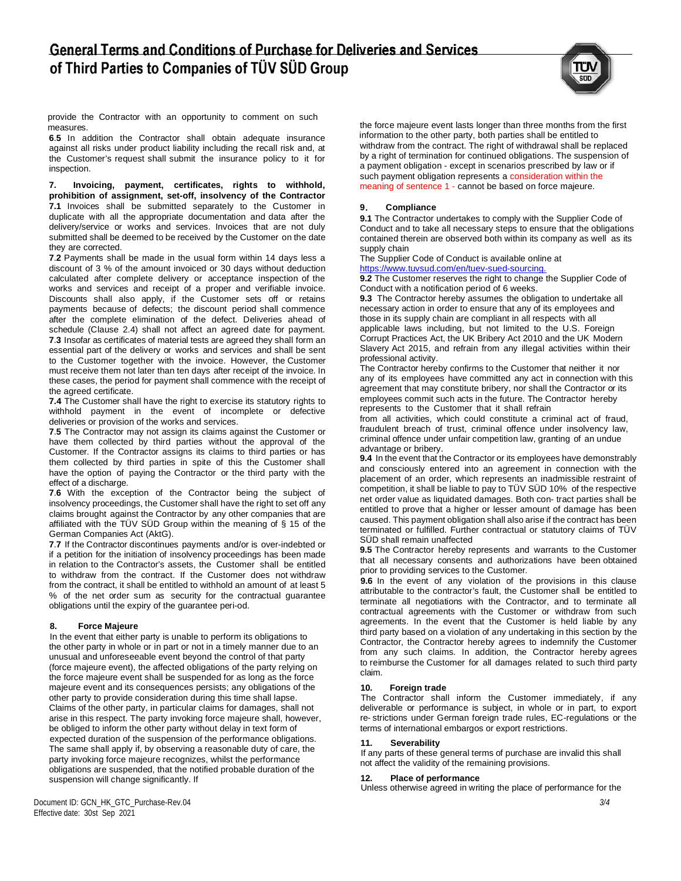

provide the Contractor with an opportunity to comment on such measures.

**6**.**5** In addition the Contractor shall obtain adequate insurance against all risks under product liability including the recall risk and, at the Customer's request shall submit the insurance policy to it for inspection.

**7. Invoicing, payment, certificates, rights to withhold, prohibition of assignment, set-off, insolvency of the Contractor 7.1** Invoices shall be submitted separately to the Customer in duplicate with all the appropriate documentation and data after the delivery/service or works and services. Invoices that are not duly submitted shall be deemed to be received by the Customer on the date they are corrected.

**7**.**2** Payments shall be made in the usual form within 14 days less a discount of 3 % of the amount invoiced or 30 days without deduction calculated after complete delivery or acceptance inspection of the works and services and receipt of a proper and verifiable invoice. Discounts shall also apply, if the Customer sets off or retains payments because of defects; the discount period shall commence after the complete elimination of the defect. Deliveries ahead of schedule (Clause 2.4) shall not affect an agreed date for payment. **7**.**3** Insofar as certificates of material tests are agreed they shall form an essential part of the delivery or works and services and shall be sent to the Customer together with the invoice. However, the Customer must receive them not later than ten days after receipt of the invoice. In these cases, the period for payment shall commence with the receipt of the agreed certificate.

**7.4** The Customer shall have the right to exercise its statutory rights to withhold payment in the event of incomplete or defective deliveries or provision of the works and services.

**7**.**5** The Contractor may not assign its claims against the Customer or have them collected by third parties without the approval of the Customer. If the Contractor assigns its claims to third parties or has them collected by third parties in spite of this the Customer shall have the option of paying the Contractor or the third party with the effect of a discharge.

**7**.**6** With the exception of the Contractor being the subject of insolvency proceedings, the Customer shall have the right to set off any claims brought against the Contractor by any other companies that are affiliated with the TÜV SÜD Group within the meaning of § 15 of the German Companies Act (AktG).

**7**.**7** If the Contractor discontinues payments and/or is over-indebted or if a petition for the initiation of insolvency proceedings has been made in relation to the Contractor's assets, the Customer shall be entitled to withdraw from the contract. If the Customer does not withdraw from the contract, it shall be entitled to withhold an amount of at least 5 % of the net order sum as security for the contractual guarantee obligations until the expiry of the guarantee peri-od.

# **8. Force Majeure**

In the event that either party is unable to perform its obligations to the other party in whole or in part or not in a timely manner due to an unusual and unforeseeable event beyond the control of that party (force majeure event), the affected obligations of the party relying on the force majeure event shall be suspended for as long as the force majeure event and its consequences persists; any obligations of the other party to provide consideration during this time shall lapse. Claims of the other party, in particular claims for damages, shall not arise in this respect. The party invoking force majeure shall, however, be obliged to inform the other party without delay in text form of expected duration of the suspension of the performance obligations. The same shall apply if, by observing a reasonable duty of care, the party invoking force majeure recognizes, whilst the performance obligations are suspended, that the notified probable duration of the suspension will change significantly. If

Document ID: GCN\_HK\_GTC\_Purchase-Rev.04 Effective date: 30st Sep 2021

the force majeure event lasts longer than three months from the first information to the other party, both parties shall be entitled to withdraw from the contract. The right of withdrawal shall be replaced by a right of termination for continued obligations. The suspension of a payment obligation - except in scenarios prescribed by law or if such payment obligation represents a consideration within the meaning of sentence 1 - cannot be based on force majeure.

# **9**. **Compliance**

**9.1** The Contractor undertakes to comply with the Supplier Code of Conduct and to take all necessary steps to ensure that the obligations contained therein are observed both within its company as well as its supply chain

The Supplier Code of Conduct is available online at https://www.tuvsud.com/en/tuev-sued-sourcing.

**9.2** The Customer reserves the right to change the Supplier Code of Conduct with a notification period of 6 weeks.

**9.3** The Contractor hereby assumes the obligation to undertake all necessary action in order to ensure that any of its employees and those in its supply chain are compliant in all respects with all applicable laws including, but not limited to the U.S. Foreign Corrupt Practices Act, the UK Bribery Act 2010 and the UK Modern Slavery Act 2015, and refrain from any illegal activities within their professional activity.

The Contractor hereby confirms to the Customer that neither it nor any of its employees have committed any act in connection with this agreement that may constitute bribery, nor shall the Contractor or its employees commit such acts in the future. The Contractor hereby represents to the Customer that it shall refrain

from all activities, which could constitute a criminal act of fraud, fraudulent breach of trust, criminal offence under insolvency law, criminal offence under unfair competition law, granting of an undue advantage or bribery.

**9.4** In the event that the Contractor or its employees have demonstrably and consciously entered into an agreement in connection with the placement of an order, which represents an inadmissible restraint of competition, it shall be liable to pay to TÜV SÜD 10% of the respective net order value as liquidated damages. Both con- tract parties shall be entitled to prove that a higher or lesser amount of damage has been caused. This payment obligation shall also arise if the contract has been terminated or fulfilled. Further contractual or statutory claims of TÜV SÜD shall remain unaffected

**9.5** The Contractor hereby represents and warrants to the Customer that all necessary consents and authorizations have been obtained prior to providing services to the Customer.

**9.6** In the event of any violation of the provisions in this clause attributable to the contractor's fault, the Customer shall be entitled to terminate all negotiations with the Contractor, and to terminate all contractual agreements with the Customer or withdraw from such agreements. In the event that the Customer is held liable by any third party based on a violation of any undertaking in this section by the Contractor, the Contractor hereby agrees to indemnify the Customer from any such claims. In addition, the Contractor hereby agrees to reimburse the Customer for all damages related to such third party claim.

# **10. Foreign trade**

The Contractor shall inform the Customer immediately, if any deliverable or performance is subject, in whole or in part, to export re- strictions under German foreign trade rules, EC-regulations or the terms of international embargos or export restrictions.

#### **11. Severability**

If any parts of these general terms of purchase are invalid this shall not affect the validity of the remaining provisions.

#### **12. Place of performance**

Unless otherwise agreed in writing the place of performance for the